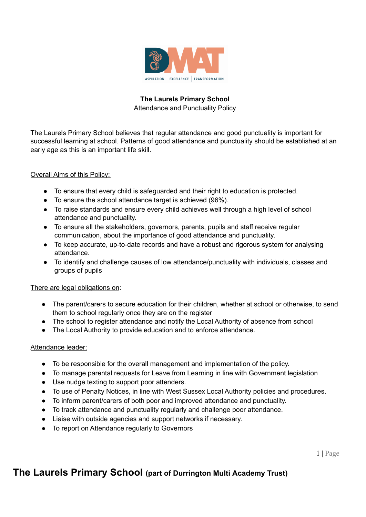

## **The Laurels Primary School** Attendance and Punctuality Policy

The Laurels Primary School believes that regular attendance and good punctuality is important for successful learning at school. Patterns of good attendance and punctuality should be established at an early age as this is an important life skill.

## Overall Aims of this Policy:

- To ensure that every child is safeguarded and their right to education is protected.
- To ensure the school attendance target is achieved (96%).
- To raise standards and ensure every child achieves well through a high level of school attendance and punctuality.
- To ensure all the stakeholders, governors, parents, pupils and staff receive regular communication, about the importance of good attendance and punctuality.
- To keep accurate, up-to-date records and have a robust and rigorous system for analysing attendance.
- To identify and challenge causes of low attendance/punctuality with individuals, classes and groups of pupils

## There are legal obligations on:

- The parent/carers to secure education for their children, whether at school or otherwise, to send them to school regularly once they are on the register
- The school to register attendance and notify the Local Authority of absence from school
- The Local Authority to provide education and to enforce attendance.

## Attendance leader:

- To be responsible for the overall management and implementation of the policy.
- To manage parental requests for Leave from Learning in line with Government legislation
- Use nudge texting to support poor attenders.
- To use of Penalty Notices, in line with West Sussex Local Authority policies and procedures.
- To inform parent/carers of both poor and improved attendance and punctuality.
- To track attendance and punctuality regularly and challenge poor attendance.
- Liaise with outside agencies and support networks if necessary.
- To report on Attendance regularly to Governors

## **The Laurels Primary School (part of Durrington Multi Academy Trust)**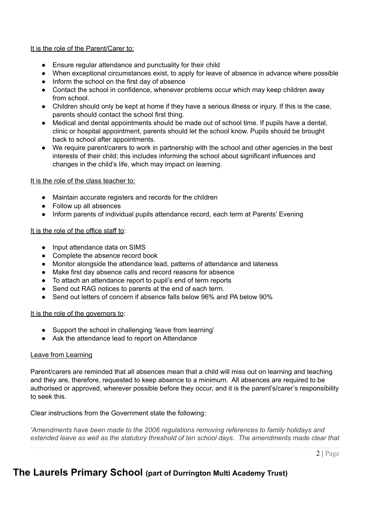### It is the role of the Parent/Carer to:

- Ensure regular attendance and punctuality for their child
- When exceptional circumstances exist, to apply for leave of absence in advance where possible
- Inform the school on the first day of absence
- Contact the school in confidence, whenever problems occur which may keep children away from school.
- Children should only be kept at home if they have a serious illness or injury. If this is the case, parents should contact the school first thing.
- Medical and dental appointments should be made out of school time. If pupils have a dental, clinic or hospital appointment, parents should let the school know. Pupils should be brought back to school after appointments.
- We require parent/carers to work in partnership with the school and other agencies in the best interests of their child; this includes informing the school about significant influences and changes in the child's life, which may impact on learning.

It is the role of the class teacher to:

- Maintain accurate registers and records for the children
- Follow up all absences
- Inform parents of individual pupils attendance record, each term at Parents' Evening

### It is the role of the office staff to:

- Input attendance data on SIMS
- Complete the absence record book
- Monitor alongside the attendance lead, patterns of attendance and lateness
- Make first day absence calls and record reasons for absence
- To attach an attendance report to pupil's end of term reports
- Send out RAG notices to parents at the end of each term.
- Send out letters of concern if absence falls below 96% and PA below 90%

#### It is the role of the governors to:

- Support the school in challenging 'leave from learning'
- Ask the attendance lead to report on Attendance

### Leave from Learning

Parent/carers are reminded that all absences mean that a child will miss out on learning and teaching and they are, therefore, requested to keep absence to a minimum. All absences are required to be authorised or approved, wherever possible before they occur, and it is the parent's/carer's responsibility to seek this.

Clear instructions from the Government state the following:

*'Amendments have been made to the 2006 regulations removing references to family holidays and extended leave as well as the statutory threshold of ten school days. The amendments made clear that*

2 | Page

# **The Laurels Primary School (part of Durrington Multi Academy Trust)**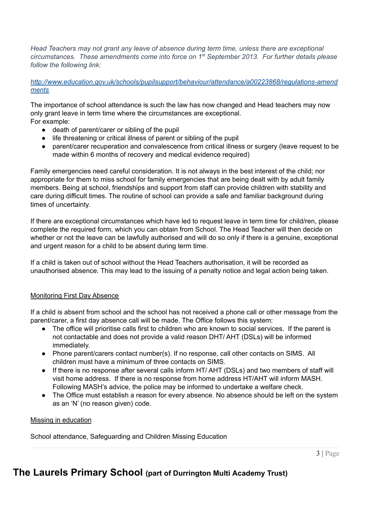*Head Teachers may not grant any leave of absence during term time, unless there are exceptional circumstances. These amendments come into force on 1 st September 2013. For further details please follow the following link:*

*[http://www.education.gov.uk/schools/pupilsupport/behaviour/attendance/a00223868/regulations-amend](http://www.education.gov.uk/schools/pupilsupport/behaviour/attendance/a00223868/regulations-amendments) [ments](http://www.education.gov.uk/schools/pupilsupport/behaviour/attendance/a00223868/regulations-amendments)*

The importance of school attendance is such the law has now changed and Head teachers may now only grant leave in term time where the circumstances are exceptional. For example:

- death of parent/carer or sibling of the pupil
- life threatening or critical illness of parent or sibling of the pupil
- parent/carer recuperation and convalescence from critical illness or surgery (leave request to be made within 6 months of recovery and medical evidence required)

Family emergencies need careful consideration. It is not always in the best interest of the child; nor appropriate for them to miss school for family emergencies that are being dealt with by adult family members. Being at school, friendships and support from staff can provide children with stability and care during difficult times. The routine of school can provide a safe and familiar background during times of uncertainty.

If there are exceptional circumstances which have led to request leave in term time for child/ren, please complete the required form, which you can obtain from School. The Head Teacher will then decide on whether or not the leave can be lawfully authorised and will do so only if there is a genuine, exceptional and urgent reason for a child to be absent during term time.

If a child is taken out of school without the Head Teachers authorisation, it will be recorded as unauthorised absence. This may lead to the issuing of a penalty notice and legal action being taken.

### Monitoring First Day Absence

If a child is absent from school and the school has not received a phone call or other message from the parent/carer, a first day absence call will be made. The Office follows this system:

- The office will prioritise calls first to children who are known to social services. If the parent is not contactable and does not provide a valid reason DHT/ AHT (DSLs) will be informed immediately.
- Phone parent/carers contact number(s). If no response, call other contacts on SIMS. All children must have a minimum of three contacts on SIMS.
- If there is no response after several calls inform HT/ AHT (DSLs) and two members of staff will visit home address. If there is no response from home address HT/AHT will inform MASH. Following MASH's advice, the police may be informed to undertake a welfare check.
- The Office must establish a reason for every absence. No absence should be left on the system as an 'N' (no reason given) code.

Missing in education

School attendance, Safeguarding and Children Missing Education

# **The Laurels Primary School (part of Durrington Multi Academy Trust)**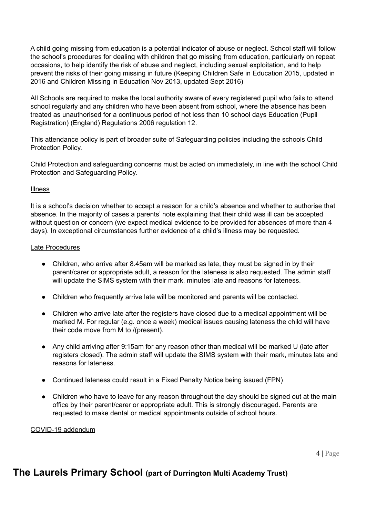A child going missing from education is a potential indicator of abuse or neglect. School staff will follow the school's procedures for dealing with children that go missing from education, particularly on repeat occasions, to help identify the risk of abuse and neglect, including sexual exploitation, and to help prevent the risks of their going missing in future (Keeping Children Safe in Education 2015, updated in 2016 and Children Missing in Education Nov 2013, updated Sept 2016)

All Schools are required to make the local authority aware of every registered pupil who fails to attend school regularly and any children who have been absent from school, where the absence has been treated as unauthorised for a continuous period of not less than 10 school days Education (Pupil Registration) (England) Regulations 2006 regulation 12.

This attendance policy is part of broader suite of Safeguarding policies including the schools Child Protection Policy.

Child Protection and safeguarding concerns must be acted on immediately, in line with the school Child Protection and Safeguarding Policy.

### Illness

It is a school's decision whether to accept a reason for a child's absence and whether to authorise that absence. In the majority of cases a parents' note explaining that their child was ill can be accepted without question or concern (we expect medical evidence to be provided for absences of more than 4 days). In exceptional circumstances further evidence of a child's illness may be requested.

### Late Procedures

- Children, who arrive after 8.45am will be marked as late, they must be signed in by their parent/carer or appropriate adult, a reason for the lateness is also requested. The admin staff will update the SIMS system with their mark, minutes late and reasons for lateness.
- Children who frequently arrive late will be monitored and parents will be contacted.
- Children who arrive late after the registers have closed due to a medical appointment will be marked M. For regular (e.g. once a week) medical issues causing lateness the child will have their code move from M to /(present).
- Any child arriving after 9:15am for any reason other than medical will be marked U (late after registers closed). The admin staff will update the SIMS system with their mark, minutes late and reasons for lateness.
- Continued lateness could result in a Fixed Penalty Notice being issued (FPN)
- Children who have to leave for any reason throughout the day should be signed out at the main office by their parent/carer or appropriate adult. This is strongly discouraged. Parents are requested to make dental or medical appointments outside of school hours.

### COVID-19 addendum